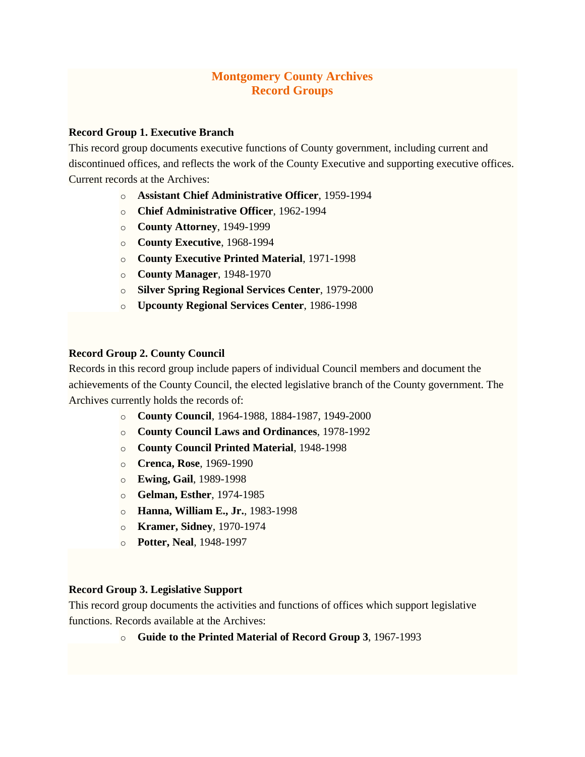# **Montgomery County Archives Record Groups**

# **Record Group 1. Executive Branch**

This record group documents executive functions of County government, including current and discontinued offices, and reflects the work of the County Executive and supporting executive offices. Current records at the Archives:

- o **Assistant Chief [Administrative](http://montgomeryhistory.org/wp-content/uploads/2015/10/asstcao.pdf) Officer**, 1959-1994
- o **Chief [Administrative](http://montgomeryhistory.org/wp-content/uploads/2015/10/chief.pdf) Officer**, 1962-1994
- o **County [Attorney](http://montgomeryhistory.org/wp-content/uploads/2015/10/cntyatty1.pdf)**, 1949-1999
- o **County [Executive](http://montgomeryhistory.org/wp-content/uploads/2015/10/cntyexecRev1.pdf)**, 1968-1994
- o **County [Executive](http://montgomeryhistory.org/wp-content/uploads/2015/10/ceprint.pdf) Printed Material**, 1971-1998
- o **County [Manager](http://montgomeryhistory.org/wp-content/uploads/2015/10/cntymgr1.pdf)**, 1948-1970
- o **Silver Spring [Regional](http://montgomeryhistory.org/wp-content/uploads/2015/10/silverspringrsc.pdf) Services Center**, 1979-2000
- o **[Upcounty](http://montgomeryhistory.org/wp-content/uploads/2015/10/upcountyrsc1.pdf) Regional Services Center**, 1986-1998

#### **Record Group 2. County Council**

Records in this record group include papers of individual Council members and document the achievements of the County Council, the elected legislative branch of the County government. The Archives currently holds the records of:

- o **County [Council](http://montgomeryhistory.org/wp-content/uploads/2015/10/cntycouncil2.pdf)**, 1964-1988, 1884-1987, 1949-2000
- o **County Council Laws and [Ordinances](http://montgomeryhistory.org/wp-content/uploads/2015/10/ordinances.pdf)**, 1978-1992
- o **County Council Printed [Material](http://montgomeryhistory.org/wp-content/uploads/2015/10/ccprint.pdf)**, 1948-1998
- o **[Crenca,](http://montgomeryhistory.org/wp-content/uploads/2015/10/crenca.pdf) Rose**, 1969-1990
- o **[Ewing,](http://montgomeryhistory.org/wp-content/uploads/2015/10/ewing.pdf) Gail**, 1989-1998
- o **[Gelman,](http://montgomeryhistory.org/wp-content/uploads/2015/10/gelman.pdf) Esther**, 1974-1985
- o **Hanna, [William](http://montgomeryhistory.org/wp-content/uploads/2015/10/hanna.pdf) E., Jr.**, 1983-1998
- o **[Kramer,](http://montgomeryhistory.org/wp-content/uploads/2015/10/kramer.pdf) Sidney**, 1970-1974
- o **[Potter,](http://montgomeryhistory.org/wp-content/uploads/2015/10/potter.pdf) Neal**, 1948-1997

### **Record Group 3. Legislative Support**

This record group documents the activities and functions of offices which support legislative functions. Records available at the Archives:

o **Guide to the Printed [Material](http://montgomeryhistory.org/wp-content/uploads/2015/10/rg3pm.pdf) of Record Group 3**, 1967-1993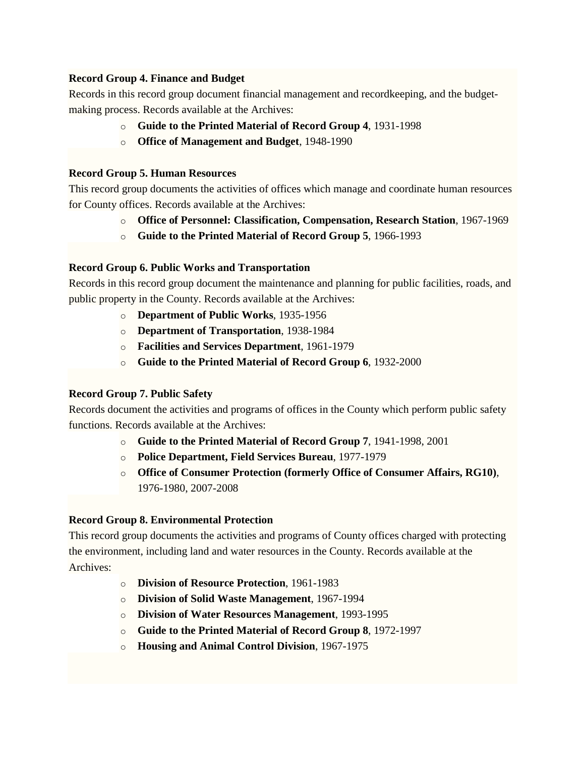# **Record Group 4. Finance and Budget**

Records in this record group document financial management and recordkeeping, and the budgetmaking process. Records available at the Archives:

- o **Guide to the Printed [Material](http://montgomeryhistory.org/wp-content/uploads/2015/10/fbpm1.pdf) of Record Group 4**, 1931-1998
- o **Office of [Management](http://montgomeryhistory.org/wp-content/uploads/2015/10/omb2.pdf) and Budget**, 1948-1990

### **Record Group 5. Human Resources**

This record group documents the activities of offices which manage and coordinate human resources for County offices. Records available at the Archives:

- o **Office of Personnel: Classification, [Compensation,](http://montgomeryhistory.org/wp-content/uploads/2015/10/rg5peroffUPDATED.pdf) Research Station**, 1967-1969
- o **Guide to the Printed [Material](http://montgomeryhistory.org/wp-content/uploads/2015/10/rg5prmat.pdf) of Record Group 5**, 1966-1993

## **Record Group 6. Public Works and Transportation**

Records in this record group document the maintenance and planning for public facilities, roads, and public property in the County. Records available at the Archives:

- o **[Department](http://montgomeryhistory.org/wp-content/uploads/2015/10/publicworks.pdf) of Public Works**, 1935-1956
- o **Department of [Transportation](http://montgomeryhistory.org/wp-content/uploads/2015/10/dot.pdf)**, 1938-1984
- o **Facilities and Services [Department](http://montgomeryhistory.org/wp-content/uploads/2015/10/facilities.pdf)**, 1961-1979
- o **Guide to the Printed [Material](http://montgomeryhistory.org/wp-content/uploads/2015/10/dpwtpmUPDATED.pdf) of Record Group 6**, 1932-2000

#### **Record Group 7. Public Safety**

Records document the activities and programs of offices in the County which perform public safety functions. Records available at the Archives:

- o **Guide to the Printed [Material](http://montgomeryhistory.org/wp-content/uploads/2015/10/rg7pm3.pdf) of Record Group 7**, 1941-1998, 2001
- o **Police [Department,](http://montgomeryhistory.org/wp-content/uploads/2015/10/policefield.pdf) Field Services Bureau**, 1977-1979
- o **Office of Consumer [Protection](http://montgomeryhistory.org/wp-content/uploads/2015/10/consumprotUPDATED1.pdf) (formerly Office of Consumer Affairs, RG10)**, 1976-1980, 2007-2008

#### **Record Group 8. Environmental Protection**

This record group documents the activities and programs of County offices charged with protecting the environment, including land and water resources in the County. Records available at the Archives:

- o **Division of Resource [Protection](http://montgomeryhistory.org/wp-content/uploads/2015/10/resprt1.pdf)**, 1961-1983
- o **Division of Solid Waste [Management](http://montgomeryhistory.org/wp-content/uploads/2015/10/solwaste.pdf)**, 1967-1994
- o **Division of Water Resources [Management](http://montgomeryhistory.org/wp-content/uploads/2015/10/waterresmgt.pdf)**, 1993-1995
- o **Guide to the Printed [Material](http://montgomeryhistory.org/wp-content/uploads/2015/10/depprmat1.pdf) of Record Group 8**, 1972-1997
- o **[Housing](http://montgomeryhistory.org/wp-content/uploads/2015/10/ancontrl.pdf) and Animal Control Division**, 1967-1975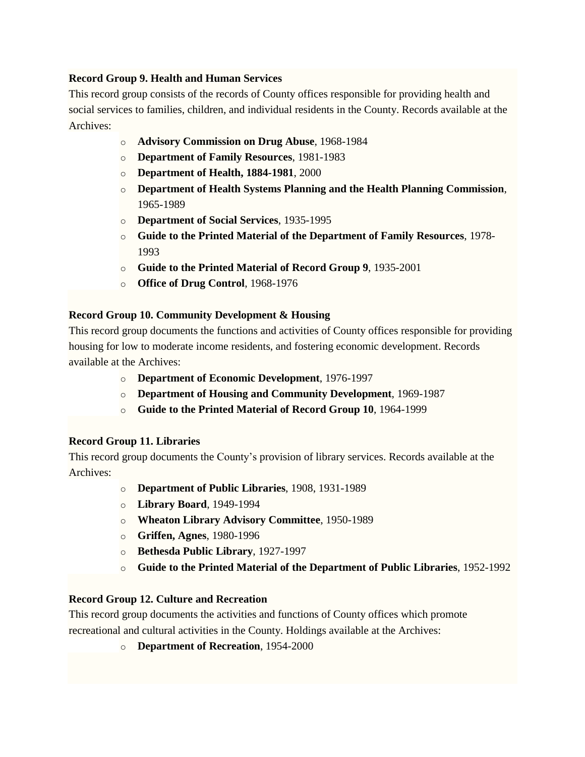# **Record Group 9. Health and Human Services**

This record group consists of the records of County offices responsible for providing health and social services to families, children, and individual residents in the County. Records available at the Archives:

- o **Advisory [Commission](http://montgomeryhistory.org/wp-content/uploads/2015/10/drugabuse.pdf) on Drug Abuse**, 1968-1984
- o **[Department](http://montgomeryhistory.org/wp-content/uploads/2015/10/famres.pdf) of Family Resources**, 1981-1983
- o **[Department](http://montgomeryhistory.org/wp-content/uploads/2015/10/health1.pdf) of Health, 1884-1981**, 2000
- o **Department of Health Systems Planning and the Health Planning [Commission](http://montgomeryhistory.org/wp-content/uploads/2015/10/dhsphpc.pdf)**, 1965-1989
- o **[Department](http://montgomeryhistory.org/wp-content/uploads/2015/10/socialserv1.pdf) of Social Services**, 1935-1995
- o **Guide to the Printed Material of the [Department](http://montgomeryhistory.org/wp-content/uploads/2015/10/famrespm1.pdf) of Family Resources**, 1978- 1993
- o **Guide to the Printed [Material](http://montgomeryhistory.org/wp-content/uploads/2015/10/rg9pm1.pdf) of Record Group 9**, 1935-2001
- o **Office of Drug [Control](http://montgomeryhistory.org/wp-content/uploads/2015/10/drugcntrl.pdf)**, 1968-1976

# **Record Group 10. Community Development & Housing**

This record group documents the functions and activities of County offices responsible for providing housing for low to moderate income residents, and fostering economic development. Records available at the Archives:

- o **Department of Economic [Development](http://montgomeryhistory.org/wp-content/uploads/2015/10/economic.pdf)**[,](http://montgomeryhistory.org/wp-content/uploads/2015/10/economic.pdf) 1976-1997
- o **Department of Housing and Community [Development](http://montgomeryhistory.org/wp-content/uploads/2015/10/housing1.pdf)**, 1969-1987
- o **Guide to the Printed [Material](http://montgomeryhistory.org/wp-content/uploads/2015/10/rg10pm1.pdf) of Record Group 10**, 1964-1999

# **Record Group 11. Libraries**

This record group documents the County's provision of library services. Records available at the Archives:

- o **[Department](http://montgomeryhistory.org/wp-content/uploads/2015/10/dplUPDATED.pdf) of Public Libraries**, 1908, 1931-1989
- o **[Library](http://montgomeryhistory.org/wp-content/uploads/2015/10/libraryboard1.pdf) Board**, 1949-1994
- o **Wheaton Library Advisory [Committee](http://montgomeryhistory.org/wp-content/uploads/2015/10/wheatonlac.pdf)**, 1950-1989
- o **[Griffen,](http://montgomeryhistory.org/wp-content/uploads/2015/10/agnes_griffenUPDATED.pdf) Agnes**, 1980-1996
- o **[Bethesda](http://montgomeryhistory.org/wp-content/uploads/2015/10/bethesda_public_library.pdf) Public Library**, 1927-1997
- o **Guide to the Printed Material of the [Department](http://montgomeryhistory.org/wp-content/uploads/2015/10/PrintMatUPDATED.pdf) of Public Libraries**, 1952-1992

# **Record Group 12. Culture and Recreation**

This record group documents the activities and functions of County offices which promote recreational and cultural activities in the County. Holdings available at the Archives:

o **[Department](http://montgomeryhistory.org/wp-content/uploads/2015/10/recdept1.pdf) of Recreation**, 1954-2000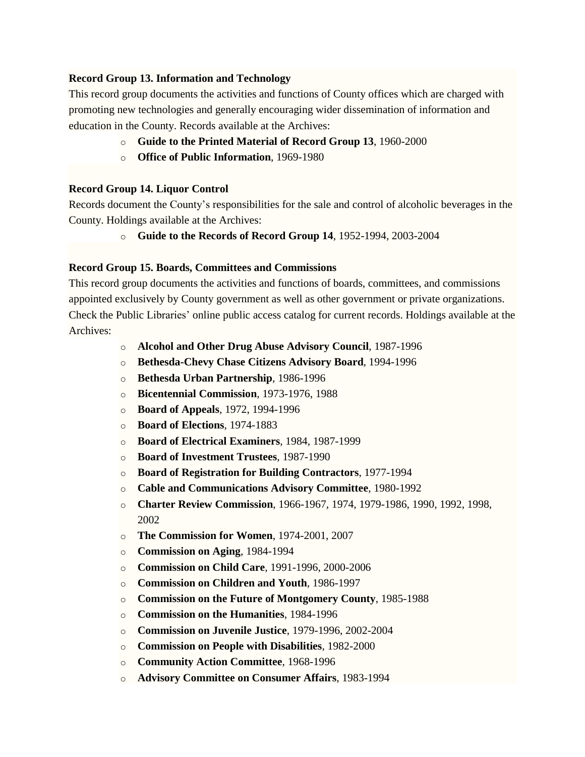## **Record Group 13. Information and Technology**

This record group documents the activities and functions of County offices which are charged with promoting new technologies and generally encouraging wider dissemination of information and education in the County. Records available at the Archives:

- o **Guide to the Printed [Material](http://montgomeryhistory.org/wp-content/uploads/2015/10/rg13pm.pdf) of Record Group 13**, 1960-2000
- o **Office of Public [Information](http://montgomeryhistory.org/wp-content/uploads/2015/10/publicinfoUPDATED.pdf)**, 1969-1980

## **Record Group 14. Liquor Control**

Records document the County's responsibilities for the sale and control of alcoholic beverages in the County. Holdings available at the Archives:

o **Guide to the [Records](http://montgomeryhistory.org/wp-content/uploads/2015/10/rg14pm1.pdf) of Record Group 14**, 1952-1994, 2003-2004

## **Record Group 15. Boards, Committees and Commissions**

This record group documents the activities and functions of boards, committees, and commissions appointed exclusively by County government as well as other government or private organizations. Check the Public Libraries' online public access catalog for current records. Holdings available at the Archives:

- o **Alcohol and Other Drug Abuse [Advisory](http://montgomeryhistory.org/wp-content/uploads/2015/10/alcohadv.pdf) Council**, 1987-1996
- o **[Bethesda-Chevy](http://montgomeryhistory.org/wp-content/uploads/2015/10/BethCC.pdf) Chase Citizens Advisory Board**, 1994-1996
- o **Bethesda Urban [Partnership](http://montgomeryhistory.org/wp-content/uploads/2015/10/BethUrbanP.pdf)**, 1986-1996
- o **[Bicentennial](http://montgomeryhistory.org/wp-content/uploads/2015/10/bicent.pdf) Commission**, 1973-1976, 1988
- o **Board of [Appeals](http://montgomeryhistory.org/wp-content/uploads/2015/10/Board-Appeals.pdf)**, 1972, 1994-1996
- o **Board of [Elections](http://montgomeryhistory.org/wp-content/uploads/2015/10/Board-Elections.pdf)**, 1974-1883
- o **Board of Electrical [Examiners](http://montgomeryhistory.org/wp-content/uploads/2015/10/BoardEleEx.pdf)**, 1984, 1987-1999
- o **Board of [Investment](http://montgomeryhistory.org/wp-content/uploads/2015/10/BoardInvest.pdf) Trustees**, 1987-1990
- o **Board of [Registration](http://montgomeryhistory.org/wp-content/uploads/2015/10/BoardRegBuild.pdf) for Building Contractors**, 1977-1994
- o **Cable and [Communications](http://montgomeryhistory.org/wp-content/uploads/2015/10/cable.pdf) Advisory Committee**, 1980-1992
- o **Charter Review [Commission](http://montgomeryhistory.org/wp-content/uploads/2015/10/CharterReview1.pdf)**, 1966-1967, 1974, 1979-1986, 1990, 1992, 1998, 2002
- o **The [Commission](http://montgomeryhistory.org/wp-content/uploads/2015/10/comm_womn1.pdf) for Women**, 1974-2001, 2007
- o **[Commission](http://montgomeryhistory.org/wp-content/uploads/2015/10/Comm_aging1.pdf) on Aging**, 1984-1994
- o **[Commission](http://montgomeryhistory.org/wp-content/uploads/2015/10/childcare1.pdf) on Child Care**, 1991-1996, 2000-2006
- o **[Commission](http://montgomeryhistory.org/wp-content/uploads/2015/10/childrenyouth.pdf) on Children and Youth**, 1986-1997
- o **Commission on the Future of [Montgomery](http://montgomeryhistory.org/wp-content/uploads/2015/10/futureofMC.pdf) County**, 1985-1988
- o **[Commission](http://montgomeryhistory.org/wp-content/uploads/2015/10/humanities1.pdf) on the Humanities**, 1984-1996
- o **[Commission](http://montgomeryhistory.org/wp-content/uploads/2015/10/juvenilejustice.pdf) on Juvenile Justice**, 1979-1996, 2002-2004
- o **[Commission](http://montgomeryhistory.org/wp-content/uploads/2015/10/disabilities.pdf) on People with Disabilities**, 1982-2000
- o **[Community](http://montgomeryhistory.org/wp-content/uploads/2015/10/commun_action.pdf) Action Committee**, 1968-1996
- o **Advisory [Committee](http://montgomeryhistory.org/wp-content/uploads/2015/10/ConsumerAffairs.pdf) on Consumer Affairs**, 1983-1994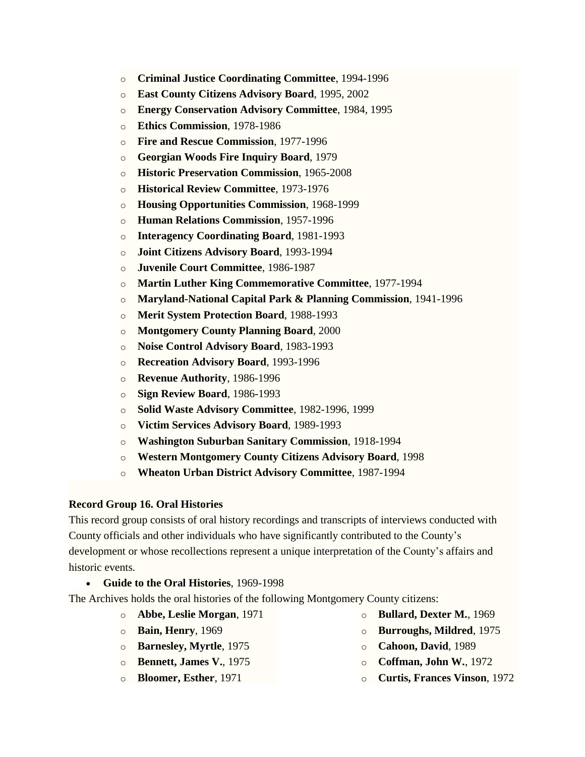- o **Criminal Justice [Coordinating](http://montgomeryhistory.org/wp-content/uploads/2015/10/CriminalJustice.pdf) Committee**, 1994-1996
- o **East County Citizens [Advisory](http://montgomeryhistory.org/wp-content/uploads/2015/10/EastCountyCitizens.pdf) Board**, 1995, 2002
- o **Energy [Conservation](http://montgomeryhistory.org/wp-content/uploads/2015/10/EnergyConservation.pdf) Advisory Committee**, 1984, 1995
- o **Ethics [Commission](http://montgomeryhistory.org/wp-content/uploads/2015/10/ethics.pdf)**, 1978-1986
- o **Fire and Rescue [Commission](http://montgomeryhistory.org/wp-content/uploads/2015/10/firerescomm.pdf)**, 1977-1996
- o **[Georgian](http://montgomeryhistory.org/wp-content/uploads/2015/10/GeorgianWoodsFireInquiry.pdf) Woods Fire Inquiry Board**, 1979
- o **Historic [Preservation](http://montgomeryhistory.org/wp-content/uploads/2015/10/historicpres.pdf) Commission**, 1965-2008
- o **Historical Review [Committee](http://montgomeryhistory.org/wp-content/uploads/2015/10/histrev.pdf)**, 1973-1976
- o **Housing [Opportunities](http://montgomeryhistory.org/wp-content/uploads/2015/10/hoc.pdf) Commission**, 1968-1999
- o **Human Relations [Commission](http://montgomeryhistory.org/wp-content/uploads/2015/10/humanrel.pdf)**, 1957-1996
- o **Interagency [Coordinating](http://montgomeryhistory.org/wp-content/uploads/2015/10/Interagency.pdf) Board**, 1981-1993
- o **Joint Citizens [Advisory](http://montgomeryhistory.org/wp-content/uploads/2015/10/JointCitizens1.pdf) Board**, 1993-1994
- o **Juvenile Court [Committee](http://montgomeryhistory.org/wp-content/uploads/2015/10/juvenilecourt.pdf)**, 1986-1987
- o **Martin Luther King [Commemorative](http://montgomeryhistory.org/wp-content/uploads/2015/10/martinlutherking2.pdf) Committee**, 1977-1994
- o **[Maryland-National](http://montgomeryhistory.org/wp-content/uploads/2015/10/mncppc.pdf) Capital Park & Planning Commission**, 1941-1996
- o **Merit System [Protection](http://montgomeryhistory.org/wp-content/uploads/2015/10/MeritSystemProtection1.pdf) Board**, 1988-1993
- o **[Montgomery](http://montgomeryhistory.org/wp-content/uploads/2015/10/MCPlanningBoard1.pdf) County Planning Board**, 2000
- o **Noise Control [Advisory](http://montgomeryhistory.org/wp-content/uploads/2015/10/NoiseControl1.pdf) Board**, 1983-1993
- o **[Recreation](http://montgomeryhistory.org/wp-content/uploads/2015/10/RecreationAdvisory.pdf) Advisory Board**, 1993-1996
- o **Revenue [Authority](http://montgomeryhistory.org/wp-content/uploads/2015/10/RevenueAuthority.pdf)**, 1986-1996
- o **Sign [Review](http://montgomeryhistory.org/wp-content/uploads/2015/10/SignReviewBoard.pdf) Board**, 1986-1993
- o **Solid Waste Advisory [Committee](http://montgomeryhistory.org/wp-content/uploads/2015/10/SolidWaste2.pdf)**, 1982-1996, 1999
- o **Victim Services [Advisory](http://montgomeryhistory.org/wp-content/uploads/2015/10/VictimServices.pdf) Board**, 1989-1993
- o **Washington Suburban Sanitary [Commission](http://montgomeryhistory.org/wp-content/uploads/2015/10/wssc.pdf)**, 1918-1994
- o **Western [Montgomery](http://montgomeryhistory.org/wp-content/uploads/2015/10/WesternMCCitizens.pdf) County Citizens Advisory Board**, 1998
- o **Wheaton Urban District Advisory [Committee](http://montgomeryhistory.org/wp-content/uploads/2015/10/WheatonUrbanDistrict.pdf)**, 1987-1994

# **Record Group 16. Oral Histories**

This record group consists of oral history recordings and transcripts of interviews conducted with County officials and other individuals who have significantly contributed to the County's development or whose recollections represent a unique interpretation of the County's affairs and historic events.

**Guide to the Oral [Histories](http://montgomeryhistory.org/wp-content/uploads/2015/10/gdtoor2.pdf)**, 1969-1998

The Archives holds the oral histories of the following Montgomery County citizens:

- o **Abbe, Leslie Morgan**, 1971
- o **Bain, Henry**, 1969
- o **Barnesley, Myrtle**, 1975
- o **Bennett, James V.**, 1975
- o **Bloomer, Esther**, 1971
- o **Bullard, Dexter M.**, 1969
- o **Burroughs, Mildred**, 1975
- o **Cahoon, David**, 1989
- o **Coffman, John W.**, 1972
- o **Curtis, Frances Vinson**, 1972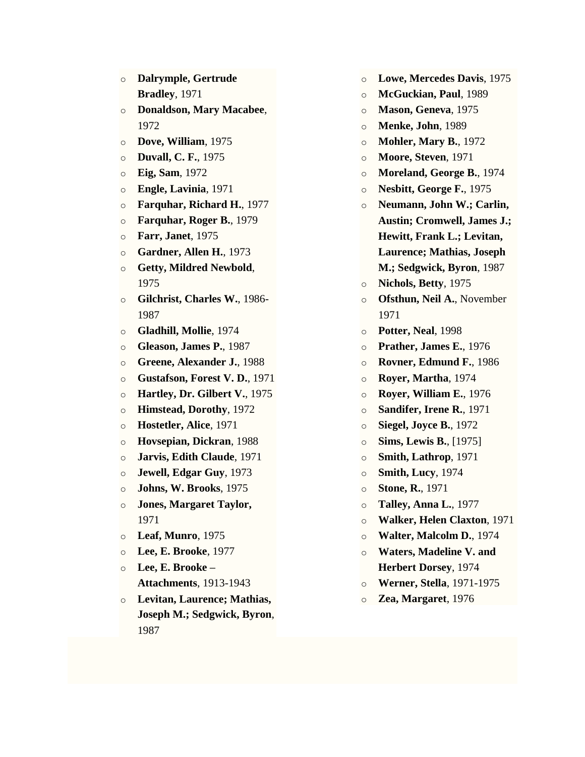- o **Dalrymple, Gertrude Bradley**, 1971
- o **Donaldson, Mary Macabee**, 1972
- o **Dove, William**, 1975
- o **Duvall, C. F.**, 1975
- o **Eig, Sam**, 1972
- o **Engle, Lavinia**, 1971
- o **Farquhar, Richard H.**, 1977
- o **Farquhar, Roger B.**, 1979
- o **Farr, Janet**, 1975
- o **Gardner, Allen H.**, 1973
- o **Getty, Mildred Newbold**, 1975
- o **Gilchrist, Charles W.**, 1986- 1987
- o **Gladhill, Mollie**, 1974
- o **Gleason, James P.**, 1987
- o **Greene, Alexander J.**, 1988
- o **Gustafson, Forest V. D.**, 1971
- o **Hartley, Dr. Gilbert V.**, 1975
- o **Himstead, Dorothy**, 1972
- o **Hostetler, Alice**, 1971
- o **Hovsepian, Dickran**, 1988
- o **Jarvis, Edith Claude**, 1971
- o **Jewell, Edgar Guy**, 1973
- o **Johns, W. Brooks**, 1975
- o **Jones, Margaret Taylor,** 1971
- o **Leaf, Munro**, 1975
- o **Lee, E. Brooke**, 1977
- o **Lee, E. Brooke – Attachments**, 1913-1943
- o **Levitan, Laurence; Mathias, Joseph M.; Sedgwick, Byron**, 1987
- o **Lowe, Mercedes Davis**, 1975
- o **McGuckian, Paul**, 1989
- o **Mason, Geneva**, 1975
- o **Menke, John**, 1989
- o **Mohler, Mary B.**, 1972
- o **Moore, Steven**, 1971
- o **Moreland, George B.**, 1974
- o **Nesbitt, George F.**, 1975
- o **Neumann, John W.; Carlin, Austin; Cromwell, James J.; Hewitt, Frank L.; Levitan, Laurence; Mathias, Joseph M.; Sedgwick, Byron**, 1987
- o **Nichols, Betty**, 1975
- o **Ofsthun, Neil A.**, November 1971
- o **Potter, Neal**, 1998
- o **Prather, James E.**, 1976
- o **Rovner, Edmund F.**, 1986
- o **Royer, Martha**, 1974
- o **Royer, William E.**, 1976
- o **Sandifer, Irene R.**, 1971
- o **Siegel, Joyce B.**, 1972
- o **Sims, Lewis B.**, [1975]
- o **Smith, Lathrop**, 1971
- o **Smith, Lucy**, 1974
- o **Stone, R.**, 1971
- o **Talley, Anna L.**, 1977
- o **Walker, Helen Claxton**, 1971
- o **Walter, Malcolm D.**, 1974
- o **Waters, Madeline V. and Herbert Dorsey**, 1974
- o **Werner, Stella**, 1971-1975
- o **Zea, Margaret**, 1976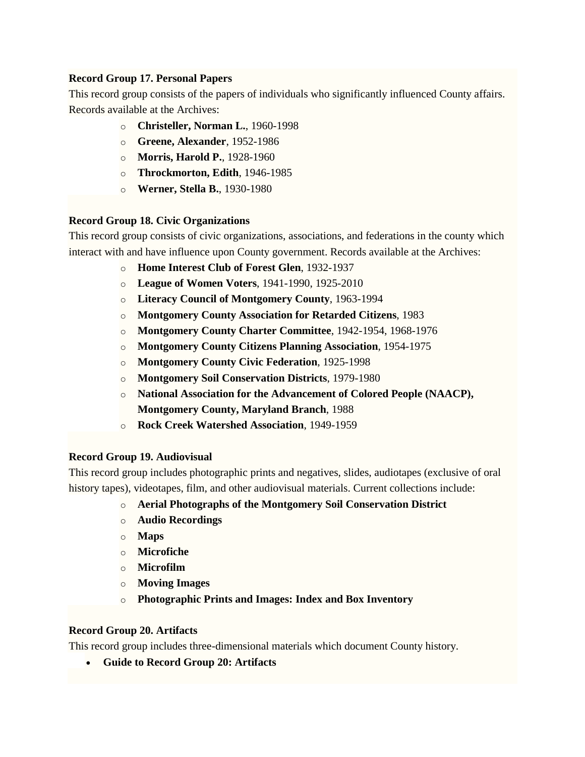# **Record Group 17. Personal Papers**

This record group consists of the papers of individuals who significantly influenced County affairs. Records available at the Archives:

- o **[Christeller,](http://montgomeryhistory.org/wp-content/uploads/2015/10/nchristeller.pdf) Norman L.**, 1960-1998
- o **Greene, [Alexander](http://montgomeryhistory.org/wp-content/uploads/2015/10/agreene.pdf)**, 1952-1986
- o **[Morris,](http://montgomeryhistory.org/wp-content/uploads/2015/10/hmorris.pdf) Harold P.**, 1928-1960
- o **[Throckmorton,](http://montgomeryhistory.org/wp-content/uploads/2015/10/ethrockmorton.pdf) Edith**, 1946-1985
- o **Werner, Stella B.**, 1930-1980

# **Record Group 18. Civic Organizations**

This record group consists of civic organizations, associations, and federations in the county which interact with and have influence upon County government. Records available at the Archives:

- o **Home [Interest](http://montgomeryhistory.org/wp-content/uploads/2015/10/homeint.pdf) Club of Forest Glen**, 1932-1937
- o **League of [Women](http://montgomeryhistory.org/wp-content/uploads/2015/10/leagueUPDATED.pdf) Voters**, 1941-1990, 1925-2010
- o **Literacy Council of [Montgomery](http://montgomeryhistory.org/wp-content/uploads/2015/10/litcoun2.pdf) County**, 1963-1994
- o **[Montgomery](http://montgomeryhistory.org/wp-content/uploads/2015/10/mcarc.pdf) County Association for Retarded Citizens**, 1983
- o **[Montgomery](http://montgomeryhistory.org/wp-content/uploads/2015/10/charterUPDATED.pdf) County Charter Committee**, 1942-1954, 1968-1976
- o **[Montgomery](http://montgomeryhistory.org/wp-content/uploads/2015/10/citplan1.pdf) County Citizens Planning Association**, 1954-1975
- o **[Montgomery](http://montgomeryhistory.org/wp-content/uploads/2015/10/civicfedUPDATED.pdf) County Civic Federation**, 1925-1998
- o **Montgomery Soil [Conservation](http://montgomeryhistory.org/wp-content/uploads/2015/10/soilconservUPDATED.pdf) Districts**, 1979-1980
- o **National Association for the [Advancement](http://montgomeryhistory.org/wp-content/uploads/2015/10/naacp-2-UPDATED.pdf) of Colored People (NAACP), [Montgomery](http://montgomeryhistory.org/wp-content/uploads/2015/10/naacp-2-UPDATED.pdf) County, Maryland Branch**, 1988
- o **Rock Creek Watershed [Association](http://montgomeryhistory.org/wp-content/uploads/2015/10/rockcrk.pdf)**, 1949-1959

# **Record Group 19. Audiovisual**

This record group includes photographic prints and negatives, slides, audiotapes (exclusive of oral history tapes), videotapes, film, and other audiovisual materials. Current collections include:

- o **Aerial Photographs of the Montgomery Soil Conservation District**
- o **Audio Recordings**
- o **[Maps](http://montgomeryhistory.org/wp-content/uploads/2015/10/mapindex.pdf)**
- o **[Microfiche](http://montgomeryhistory.org/wp-content/uploads/2015/10/microfiche.pdf)**
- o **[Microfilm](http://montgomeryhistory.org/wp-content/uploads/2015/10/microfilm.pdf)**
- o **Moving Images**
- o **[Photographic](http://montgomeryhistory.org/wp-content/uploads/2015/10/photoboxinventoryUpdated.pdf) Prints and Images: Index and Box Inventory**

# **Record Group 20. Artifacts**

This record group includes three-dimensional materials which document County history.

**Guide to Record Group 20: [Artifacts](http://montgomeryhistory.org/wp-content/uploads/2015/10/ArtifactsBoxInventory.pdf)**